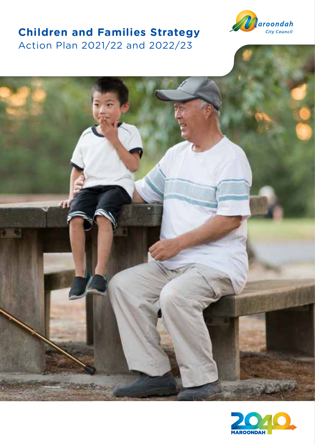

### **Children and Families Strategy**  Action Plan 2021/22 and 2022/23



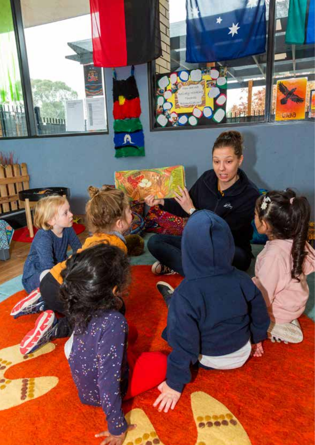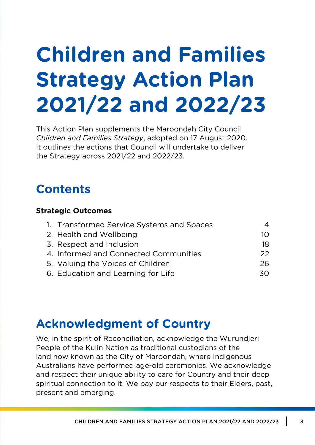# **Children and Families Strategy Action Plan 2021/22 and 2022/23**

This Action Plan supplements the Maroondah City Council *Children and Families Strategy*, adopted on 17 August 2020. It outlines the actions that Council will undertake to deliver the Strategy across 2021/22 and 2022/23.

### **Contents**

#### **Strategic Outcomes**

| 1. Transformed Service Systems and Spaces |     |
|-------------------------------------------|-----|
| 2. Health and Wellbeing                   | 10  |
| 3. Respect and Inclusion                  | 18. |
| 4. Informed and Connected Communities     | つつ  |
| 5. Valuing the Voices of Children         | 26. |
| 6. Education and Learning for Life        | κ٥. |

### **Acknowledgment of Country**

We, in the spirit of Reconciliation, acknowledge the Wurundjeri People of the Kulin Nation as traditional custodians of the land now known as the City of Maroondah, where Indigenous Australians have performed age-old ceremonies. We acknowledge and respect their unique ability to care for Country and their deep spiritual connection to it. We pay our respects to their Elders, past, present and emerging.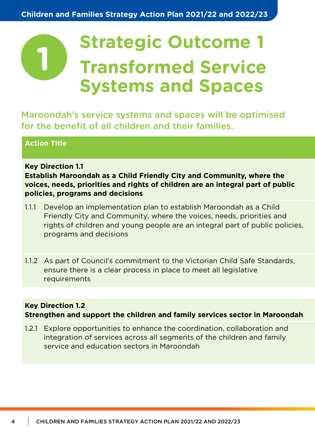# **Strategic Outcome 1 Transformed Service Systems and Spaces 1**

Maroondah's service systems and spaces will be optimised for the benefit of all children and their families.

**Action Title Responsible** 

**Key Direction 1.1**

**Establish Maroondah as a Child Friendly City and Community, where the voices, needs, priorities and rights of children are an integral part of public policies, programs and decisions**

- 1.1.1 Develop an implementation plan to establish Maroondah as a Child Friendly City and Community, where the voices, needs, priorities and rights of children and young people are an integral part of public policies, programs and decisions
- 1.1.2 As part of Council's commitment to the Victorian Child Safe Standards, ensure there is a clear process in place to meet all legislative requirements

#### **Key Direction 1.2 Strengthen and support the children and family services sector in Maroondah**

1.2.1 Explore opportunities to enhance the coordination, collaboration and integration of services across all segments of the children and family service and education sectors in Maroondah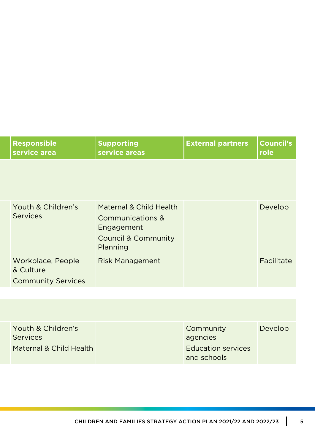| <b>Responsible</b><br>service area                          | <b>Supporting</b><br>service areas                                                                                 | <b>External partners</b>                           | <b>Council's</b><br>role |
|-------------------------------------------------------------|--------------------------------------------------------------------------------------------------------------------|----------------------------------------------------|--------------------------|
|                                                             |                                                                                                                    |                                                    |                          |
| Youth & Children's<br><b>Services</b>                       | Maternal & Child Health<br><b>Communications &amp;</b><br>Engagement<br><b>Council &amp; Community</b><br>Planning |                                                    | Develop                  |
| Workplace, People<br>& Culture<br><b>Community Services</b> | <b>Risk Management</b>                                                                                             |                                                    | Facilitate               |
|                                                             |                                                                                                                    |                                                    |                          |
|                                                             |                                                                                                                    |                                                    |                          |
| Youth & Children's<br>Services<br>Maternal & Child Health   |                                                                                                                    | Community<br>agencies<br><b>Education services</b> | Develop                  |

and schools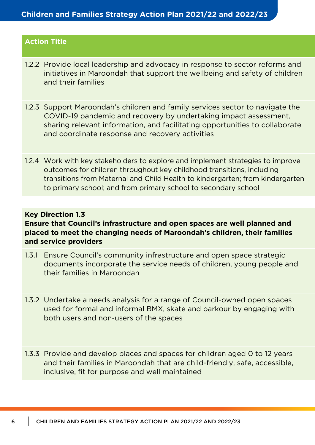- 1.2.2 Provide local leadership and advocacy in response to sector reforms and initiatives in Maroondah that support the wellbeing and safety of children and their families
- 1.2.3 Support Maroondah's children and family services sector to navigate the COVID-19 pandemic and recovery by undertaking impact assessment, sharing relevant information, and facilitating opportunities to collaborate and coordinate response and recovery activities
- 1.2.4 Work with key stakeholders to explore and implement strategies to improve outcomes for children throughout key childhood transitions, including transitions from Maternal and Child Health to kindergarten; from kindergarten to primary school; and from primary school to secondary school

#### **Key Direction 1.3**

#### **Ensure that Council's infrastructure and open spaces are well planned and placed to meet the changing needs of Maroondah's children, their families and service providers**

- 1.3.1 Ensure Council's community infrastructure and open space strategic documents incorporate the service needs of children, young people and their families in Maroondah
- 1.3.2 Undertake a needs analysis for a range of Council-owned open spaces used for formal and informal BMX, skate and parkour by engaging with both users and non-users of the spaces
- 1.3.3 Provide and develop places and spaces for children aged 0 to 12 years and their families in Maroondah that are child-friendly, safe, accessible, inclusive, fit for purpose and well maintained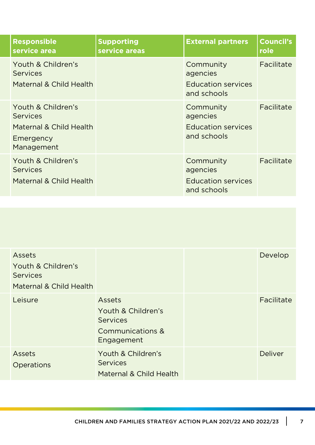| <b>Responsible</b><br><b>service area</b>                                            | <b>Supporting</b><br>service areas | <b>External partners</b>                                          | <b>Council's</b><br>role |
|--------------------------------------------------------------------------------------|------------------------------------|-------------------------------------------------------------------|--------------------------|
| Youth & Children's<br><b>Services</b><br>Maternal & Child Health                     |                                    | Community<br>agencies<br><b>Education services</b><br>and schools | Facilitate               |
| Youth & Children's<br>Services<br>Maternal & Child Health<br>Emergency<br>Management |                                    | Community<br>agencies<br><b>Education services</b><br>and schools | Facilitate               |
| Youth & Children's<br>Services<br>Maternal & Child Health                            |                                    | Community<br>agencies<br><b>Education services</b><br>and schools | Facilitate               |

| Assets<br>Youth & Children's<br><b>Services</b><br>Maternal & Child Health |                                                                                   | Develop        |
|----------------------------------------------------------------------------|-----------------------------------------------------------------------------------|----------------|
| Leisure                                                                    | Assets<br>Youth & Children's<br><b>Services</b><br>Communications &<br>Engagement | Facilitate     |
| <b>Assets</b><br>Operations                                                | Youth & Children's<br><b>Services</b><br>Maternal & Child Health                  | <b>Deliver</b> |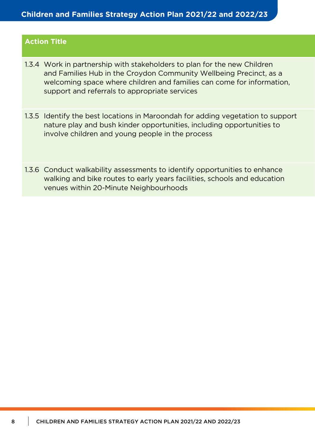- 1.3.4 Work in partnership with stakeholders to plan for the new Children and Families Hub in the Croydon Community Wellbeing Precinct, as a welcoming space where children and families can come for information, support and referrals to appropriate services
- 1.3.5 Identify the best locations in Maroondah for adding vegetation to support nature play and bush kinder opportunities, including opportunities to involve children and young people in the process
- 1.3.6 Conduct walkability assessments to identify opportunities to enhance walking and bike routes to early years facilities, schools and education venues within 20-Minute Neighbourhoods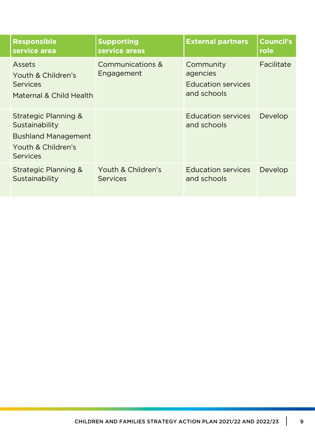|  | <b>Responsible</b><br>service area                                                                                       | <b>Supporting</b><br>service areas | <b>External partners</b>                                          | <b>Council's</b><br>role |
|--|--------------------------------------------------------------------------------------------------------------------------|------------------------------------|-------------------------------------------------------------------|--------------------------|
|  | Assets<br>Youth & Children's<br><b>Services</b><br>Maternal & Child Health                                               | Communications &<br>Engagement     | Community<br>agencies<br><b>Education services</b><br>and schools | Facilitate               |
|  | <b>Strategic Planning &amp;</b><br>Sustainability<br><b>Bushland Management</b><br>Youth & Children's<br><b>Services</b> |                                    | <b>Education services</b><br>and schools                          | Develop                  |
|  | <b>Strategic Planning &amp;</b><br>Sustainability                                                                        | Youth & Children's<br>Services     | <b>Education services</b><br>and schools                          | Develop                  |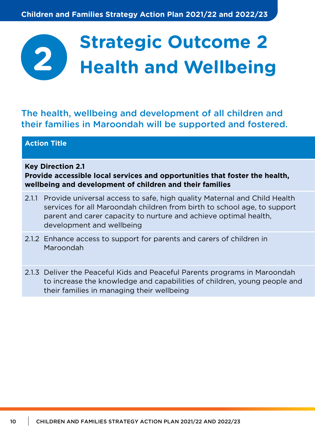# **Strategic Outcome 2 Health and Wellbeing 2**

The health, wellbeing and development of all children and their families in Maroondah will be supported and fostered.

**Action Title Responsible** 

**Key Direction 2.1**

**Provide accessible local services and opportunities that foster the health, wellbeing and development of children and their families**

- 2.1.1 Provide universal access to safe, high quality Maternal and Child Health services for all Maroondah children from birth to school age, to support parent and carer capacity to nurture and achieve optimal health, development and wellbeing
- 2.1.2 Enhance access to support for parents and carers of children in Maroondah
- 2.1.3 Deliver the Peaceful Kids and Peaceful Parents programs in Maroondah to increase the knowledge and capabilities of children, young people and their families in managing their wellbeing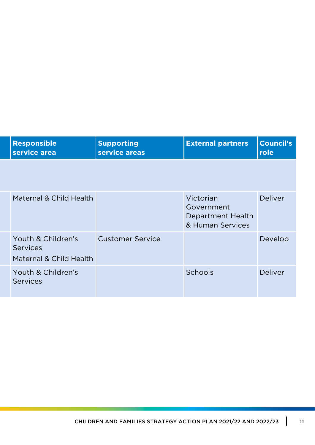|  | <b>Responsible</b><br>service area                        | <b>Supporting</b><br>service areas | <b>External partners</b>                                         | <b>Council's</b><br>role |
|--|-----------------------------------------------------------|------------------------------------|------------------------------------------------------------------|--------------------------|
|  |                                                           |                                    |                                                                  |                          |
|  | Maternal & Child Health                                   |                                    | Victorian<br>Government<br>Department Health<br>& Human Services | Deliver                  |
|  | Youth & Children's<br>Services<br>Maternal & Child Health | <b>Customer Service</b>            |                                                                  | Develop                  |
|  | Youth & Children's<br>Services                            |                                    | Schools                                                          | <b>Deliver</b>           |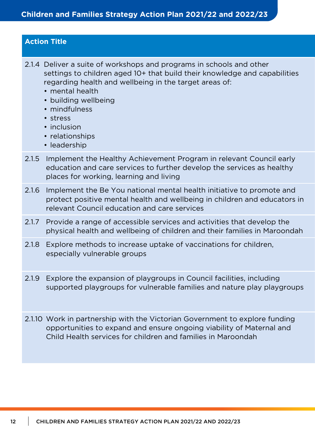- 2.1.4 Deliver a suite of workshops and programs in schools and other settings to children aged 10+ that build their knowledge and capabilities regarding health and wellbeing in the target areas of:
	- mental health
	- building wellbeing
	- mindfulness
	- stress
	- inclusion
	- relationships
	- leadership
- 2.1.5 Implement the Healthy Achievement Program in relevant Council early education and care services to further develop the services as healthy places for working, learning and living
- 2.1.6 Implement the Be You national mental health initiative to promote and protect positive mental health and wellbeing in children and educators in relevant Council education and care services
- 2.1.7 Provide a range of accessible services and activities that develop the physical health and wellbeing of children and their families in Maroondah
- 2.1.8 Explore methods to increase uptake of vaccinations for children, especially vulnerable groups
- 2.1.9 Explore the expansion of playgroups in Council facilities, including supported playgroups for vulnerable families and nature play playgroups
- 2.1.10 Work in partnership with the Victorian Government to explore funding opportunities to expand and ensure ongoing viability of Maternal and Child Health services for children and families in Maroondah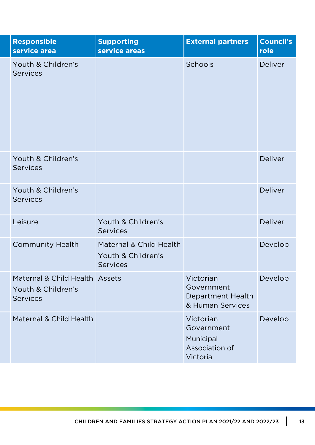|  | <b>Responsible</b><br>service area                               | <b>Supporting</b><br>service areas                        | <b>External partners</b>                                           | <b>Council's</b><br>role |
|--|------------------------------------------------------------------|-----------------------------------------------------------|--------------------------------------------------------------------|--------------------------|
|  | Youth & Children's<br>Services                                   |                                                           | Schools                                                            | Deliver                  |
|  | Youth & Children's<br>Services                                   |                                                           |                                                                    | Deliver                  |
|  | Youth & Children's<br>Services                                   |                                                           |                                                                    | Deliver                  |
|  | Leisure                                                          | Youth & Children's<br>Services                            |                                                                    | Deliver                  |
|  | Community Health                                                 | Maternal & Child Health<br>Youth & Children's<br>Services |                                                                    | Develop                  |
|  | Maternal & Child Health Assets<br>Youth & Children's<br>Services |                                                           | Victorian<br>Government<br>Department Health<br>& Human Services   | Develop                  |
|  | Maternal & Child Health                                          |                                                           | Victorian<br>Government<br>Municipal<br>Association of<br>Victoria | Develop                  |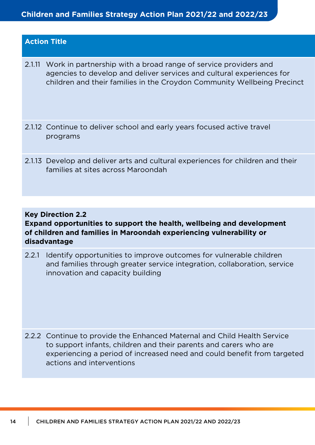- 2.1.11 Work in partnership with a broad range of service providers and agencies to develop and deliver services and cultural experiences for children and their families in the Croydon Community Wellbeing Precinct
- 2.1.12 Continue to deliver school and early years focused active travel programs
- 2.1.13 Develop and deliver arts and cultural experiences for children and their families at sites across Maroondah

#### **Key Direction 2.2**

#### **Expand opportunities to support the health, wellbeing and development of children and families in Maroondah experiencing vulnerability or disadvantage**

2.2.1 Identify opportunities to improve outcomes for vulnerable children and families through greater service integration, collaboration, service innovation and capacity building

2.2.2 Continue to provide the Enhanced Maternal and Child Health Service to support infants, children and their parents and carers who are experiencing a period of increased need and could benefit from targeted actions and interventions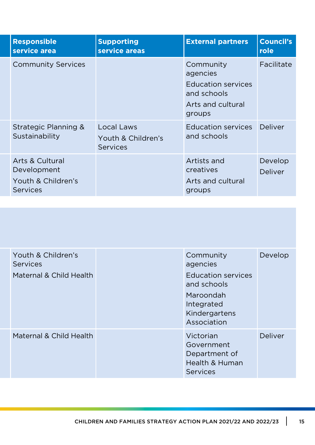| <b>Responsible</b><br>service area                                      | <b>Supporting</b><br>service areas                  | <b>External partners</b>                                                                  | <b>Council's</b><br>role  |
|-------------------------------------------------------------------------|-----------------------------------------------------|-------------------------------------------------------------------------------------------|---------------------------|
| <b>Community Services</b>                                               |                                                     | Community<br>agencies<br>Education services<br>and schools<br>Arts and cultural<br>groups | Facilitate                |
| <b>Strategic Planning &amp;</b><br>Sustainability                       | Local Laws<br>Youth & Children's<br><b>Services</b> | <b>Education services</b><br>and schools                                                  | Deliver                   |
| Arts & Cultural<br>Development<br>Youth & Children's<br><b>Services</b> |                                                     | Artists and<br>creatives<br>Arts and cultural<br>groups                                   | Develop<br><b>Deliver</b> |

| Youth & Children's<br>Services<br>Maternal & Child Health | Community<br>agencies<br>Education services<br>and schools<br>Maroondah<br>Integrated<br>Kindergartens<br>Association | Develop |
|-----------------------------------------------------------|-----------------------------------------------------------------------------------------------------------------------|---------|
| Maternal & Child Health                                   | Victorian<br>Government<br>Department of<br>Health & Human<br>Services                                                | Deliver |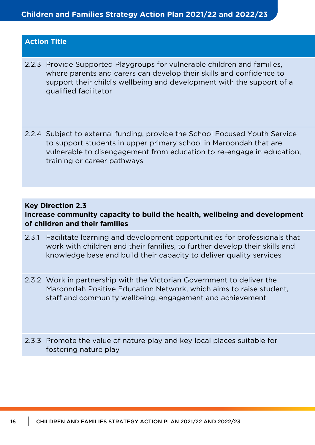- 2.2.3 Provide Supported Playgroups for vulnerable children and families, where parents and carers can develop their skills and confidence to support their child's wellbeing and development with the support of a qualified facilitator
- 2.2.4 Subject to external funding, provide the School Focused Youth Service to support students in upper primary school in Maroondah that are vulnerable to disengagement from education to re-engage in education, training or career pathways

#### **Key Direction 2.3**

#### **Increase community capacity to build the health, wellbeing and development of children and their families**

- 2.3.1 Facilitate learning and development opportunities for professionals that work with children and their families, to further develop their skills and knowledge base and build their capacity to deliver quality services
- 2.3.2 Work in partnership with the Victorian Government to deliver the Maroondah Positive Education Network, which aims to raise student, staff and community wellbeing, engagement and achievement

#### 2.3.3 Promote the value of nature play and key local places suitable for fostering nature play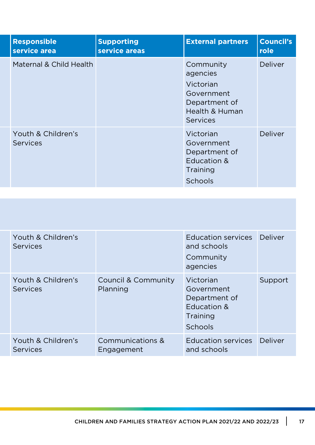|  | <b>Responsible</b><br>service area | <b>Supporting</b><br>service areas | <b>External partners</b>                                                                        | <b>Council's</b><br>role |
|--|------------------------------------|------------------------------------|-------------------------------------------------------------------------------------------------|--------------------------|
|  | Maternal & Child Health            |                                    | Community<br>agencies<br>Victorian<br>Government<br>Department of<br>Health & Human<br>Services | Deliver                  |
|  | Youth & Children's<br>Services     |                                    | Victorian<br>Government<br>Department of<br>Education &<br>Training<br>Schools                  | Deliver                  |

| Youth & Children's<br>Services |                                 | Education services Deliver<br>and schools<br>Community<br>agencies             |         |
|--------------------------------|---------------------------------|--------------------------------------------------------------------------------|---------|
| Youth & Children's<br>Services | Council & Community<br>Planning | Victorian<br>Government<br>Department of<br>Education &<br>Training<br>Schools | Support |
| Youth & Children's<br>Services | Communications &<br>Engagement  | Education services<br>and schools                                              | Deliver |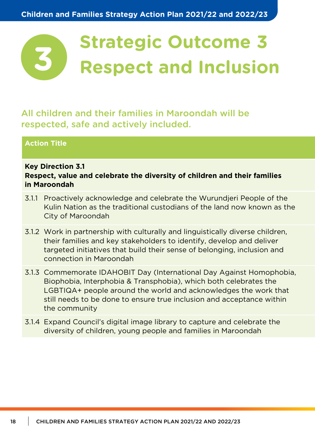# **Strategic Outcome 3 Respect and Inclusion 3**

All children and their families in Maroondah will be respected, safe and actively included.

**Action Title Responsible** 

#### **Key Direction 3.1 Respect, value and celebrate the diversity of children and their families in Maroondah**

- 3.1.1 Proactively acknowledge and celebrate the Wurundjeri People of the Kulin Nation as the traditional custodians of the land now known as the City of Maroondah
- 3.1.2 Work in partnership with culturally and linguistically diverse children, their families and key stakeholders to identify, develop and deliver targeted initiatives that build their sense of belonging, inclusion and connection in Maroondah
- 3.1.3 Commemorate IDAHOBIT Day (International Day Against Homophobia, Biophobia, Interphobia & Transphobia), which both celebrates the LGBTIQA+ people around the world and acknowledges the work that still needs to be done to ensure true inclusion and acceptance within the community
- 3.1.4 Expand Council's digital image library to capture and celebrate the diversity of children, young people and families in Maroondah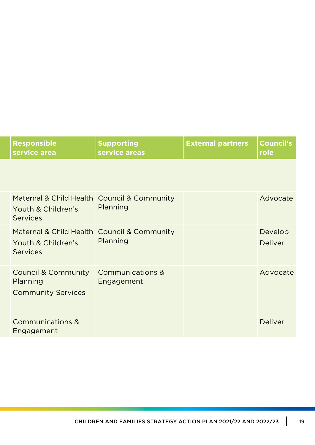|  | <b>Responsible</b><br>service area                                                   | <b>Supporting</b><br>service areas        | <b>External partners</b> | <b>Council's</b><br>role  |
|--|--------------------------------------------------------------------------------------|-------------------------------------------|--------------------------|---------------------------|
|  |                                                                                      |                                           |                          |                           |
|  | Maternal & Child Health Council & Community<br>Youth & Children's<br><b>Services</b> | Planning                                  |                          | Advocate                  |
|  | Maternal & Child Health Council & Community<br>Youth & Children's<br>Services        | Planning                                  |                          | Develop<br><b>Deliver</b> |
|  | <b>Council &amp; Community</b><br>Planning<br><b>Community Services</b>              | <b>Communications &amp;</b><br>Engagement |                          | Advocate                  |
|  | <b>Communications &amp;</b><br>Engagement                                            |                                           |                          | <b>Deliver</b>            |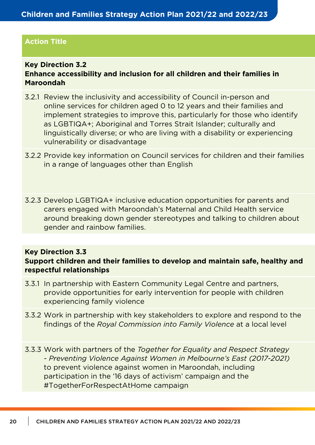#### **Key Direction 3.2 Enhance accessibility and inclusion for all children and their families in Maroondah**

- 3.2.1 Review the inclusivity and accessibility of Council in-person and online services for children aged 0 to 12 years and their families and implement strategies to improve this, particularly for those who identify as LGBTIQA+; Aboriginal and Torres Strait Islander; culturally and linguistically diverse; or who are living with a disability or experiencing vulnerability or disadvantage
- 3.2.2 Provide key information on Council services for children and their families in a range of languages other than English
- 3.2.3 Develop LGBTIQA+ inclusive education opportunities for parents and carers engaged with Maroondah's Maternal and Child Health service around breaking down gender stereotypes and talking to children about gender and rainbow families.

#### **Key Direction 3.3 Support children and their families to develop and maintain safe, healthy and respectful relationships**

- 3.3.1 In partnership with Eastern Community Legal Centre and partners, provide opportunities for early intervention for people with children experiencing family violence
- 3.3.2 Work in partnership with key stakeholders to explore and respond to the findings of the *Royal Commission into Family Violence* at a local level
- 3.3.3 Work with partners of the *Together for Equality and Respect Strategy - Preventing Violence Against Women in Melbourne's East (2017-2021)* to prevent violence against women in Maroondah, including participation in the '16 days of activism' campaign and the #TogetherForRespectAtHome campaign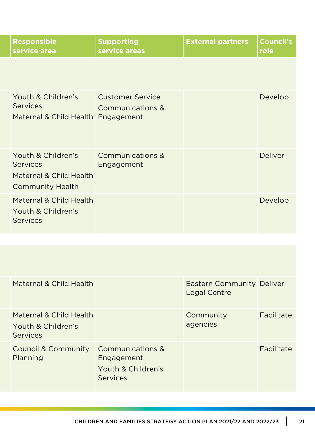|  | <b>Responsible</b><br>service area                                                          | <b>Supporting</b><br>service areas                     | <b>External partners</b> | Council's<br>role |
|--|---------------------------------------------------------------------------------------------|--------------------------------------------------------|--------------------------|-------------------|
|  |                                                                                             |                                                        |                          |                   |
|  | Youth & Children's<br><b>Services</b><br>Maternal & Child Health Engagement                 | <b>Customer Service</b><br><b>Communications &amp;</b> |                          | Develop           |
|  | Youth & Children's<br><b>Services</b><br>Maternal & Child Health<br><b>Community Health</b> | <b>Communications &amp;</b><br>Engagement              |                          | <b>Deliver</b>    |
|  | Maternal & Child Health<br>Youth & Children's<br><b>Services</b>                            |                                                        |                          | Develop           |

| Maternal & Child Health                                   |                                                                  | <b>Eastern Community Deliver</b><br>Legal Centre |            |
|-----------------------------------------------------------|------------------------------------------------------------------|--------------------------------------------------|------------|
| Maternal & Child Health<br>Youth & Children's<br>Services |                                                                  | Community<br>agencies                            | Facilitate |
| Council & Community<br>Planning                           | Communications &<br>Engagement<br>Youth & Children's<br>Services |                                                  | Facilitate |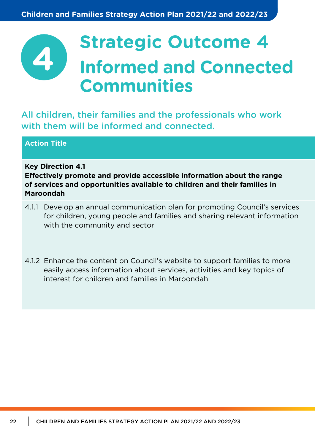## **Strategic Outcome 4 Informed and Connected Communities 4**

All children, their families and the professionals who work with them will be informed and connected.

**Action Title Responsible** 

**Key Direction 4.1**

**Effectively promote and provide accessible information about the range of services and opportunities available to children and their families in Maroondah**

- 4.1.1 Develop an annual communication plan for promoting Council's services for children, young people and families and sharing relevant information with the community and sector
- 4.1.2 Enhance the content on Council's website to support families to more easily access information about services, activities and key topics of interest for children and families in Maroondah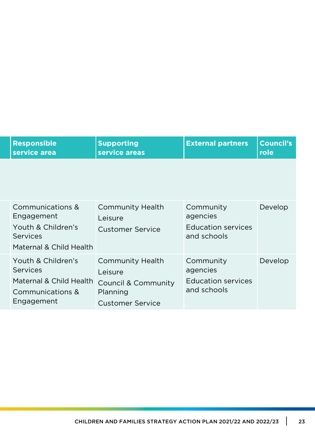|  | <b>Responsible</b><br>service area                                                                 | <b>Supporting</b><br>service areas                                                               | <b>External partners</b>                                          | <b>Council's</b><br>role |
|--|----------------------------------------------------------------------------------------------------|--------------------------------------------------------------------------------------------------|-------------------------------------------------------------------|--------------------------|
|  |                                                                                                    |                                                                                                  |                                                                   |                          |
|  | Communications &<br>Engagement<br>Youth & Children's<br><b>Services</b><br>Maternal & Child Health | <b>Community Health</b><br>Leisure<br><b>Customer Service</b>                                    | Community<br>agencies<br><b>Education services</b><br>and schools | Develop                  |
|  | Youth & Children's<br><b>Services</b><br>Maternal & Child Health<br>Communications &<br>Engagement | <b>Community Health</b><br>Leisure<br>Council & Community<br>Planning<br><b>Customer Service</b> | Community<br>agencies<br><b>Education services</b><br>and schools | Develop                  |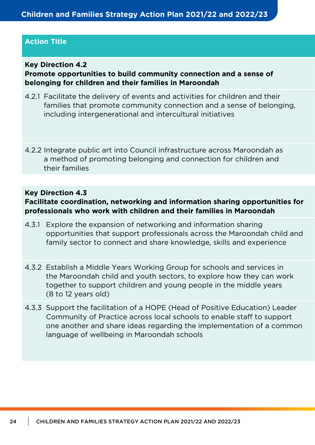#### **Key Direction 4.2**

**Promote opportunities to build community connection and a sense of belonging for children and their families in Maroondah**

- 4.2.1 Facilitate the delivery of events and activities for children and their families that promote community connection and a sense of belonging, including intergenerational and intercultural initiatives
- 4.2.2 Integrate public art into Council infrastructure across Maroondah as a method of promoting belonging and connection for children and their families

#### **Key Direction 4.3**

#### **Facilitate coordination, networking and information sharing opportunities for professionals who work with children and their families in Maroondah**

- 4.3.1 Explore the expansion of networking and information sharing opportunities that support professionals across the Maroondah child and family sector to connect and share knowledge, skills and experience
- 4.3.2 Establish a Middle Years Working Group for schools and services in the Maroondah child and youth sectors, to explore how they can work together to support children and young people in the middle years (8 to 12 years old)
- 4.3.3 Support the facilitation of a HOPE (Head of Positive Education) Leader Community of Practice across local schools to enable staff to support one another and share ideas regarding the implementation of a common language of wellbeing in Maroondah schools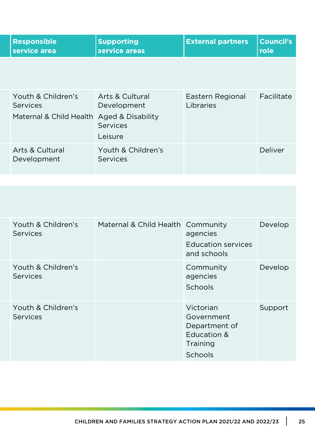|  | <b>Responsible</b><br><b>service area</b>                 | <b>Supporting</b><br>service areas                                                | <b>External partners</b>      | <b>Council's</b><br>role |
|--|-----------------------------------------------------------|-----------------------------------------------------------------------------------|-------------------------------|--------------------------|
|  |                                                           |                                                                                   |                               |                          |
|  | Youth & Children's<br>Services<br>Maternal & Child Health | Arts & Cultural<br>Development<br>Aged & Disability<br><b>Services</b><br>Leisure | Eastern Regional<br>Libraries | Facilitate               |
|  | Arts & Cultural<br>Development                            | Youth & Children's<br><b>Services</b>                                             |                               | Deliver                  |

| Youth & Children's<br>Services        | Maternal & Child Health Community | agencies<br>Education services<br>and schools                                  | Develop |
|---------------------------------------|-----------------------------------|--------------------------------------------------------------------------------|---------|
| Youth & Children's<br>Services        |                                   | Community<br>agencies<br>Schools                                               | Develop |
| Youth & Children's<br><b>Services</b> |                                   | Victorian<br>Government<br>Department of<br>Education &<br>Training<br>Schools | Support |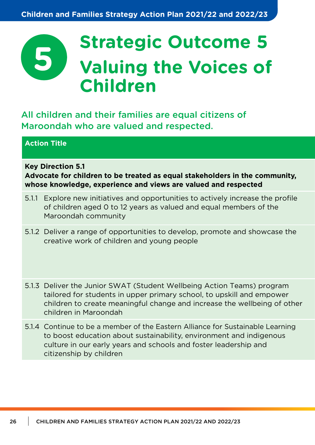# **Strategic Outcome 5 Valuing the Voices of Children 5**

All children and their families are equal citizens of Maroondah who are valued and respected.

**Action Title Responsible** 

**Key Direction 5.1**

**Advocate for children to be treated as equal stakeholders in the community, whose knowledge, experience and views are valued and respected**

- 5.1.1 Explore new initiatives and opportunities to actively increase the profile of children aged 0 to 12 years as valued and equal members of the Maroondah community
- 5.1.2 Deliver a range of opportunities to develop, promote and showcase the creative work of children and young people
- 5.1.3 Deliver the Junior SWAT (Student Wellbeing Action Teams) program tailored for students in upper primary school, to upskill and empower children to create meaningful change and increase the wellbeing of other children in Maroondah
- 5.1.4 Continue to be a member of the Eastern Alliance for Sustainable Learning to boost education about sustainability, environment and indigenous culture in our early years and schools and foster leadership and citizenship by children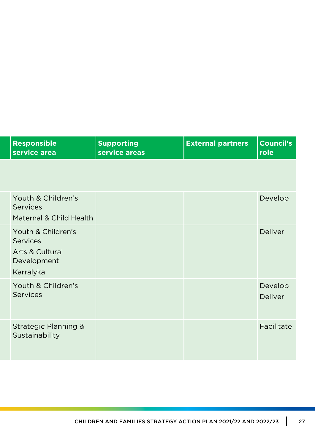|  | Responsible<br>service area                                                   | <b>Supporting</b><br>service areas | <b>External partners</b> | Council's<br>role  |
|--|-------------------------------------------------------------------------------|------------------------------------|--------------------------|--------------------|
|  |                                                                               |                                    |                          |                    |
|  | Youth & Children's<br>Services<br>Maternal & Child Health                     |                                    |                          | Develop            |
|  | Youth & Children's<br>Services<br>Arts & Cultural<br>Development<br>Karralyka |                                    |                          | Deliver            |
|  | Youth & Children's<br>Services                                                |                                    |                          | Develop<br>Deliver |
|  | <b>Strategic Planning &amp;</b><br>Sustainability                             |                                    |                          | Facilitate         |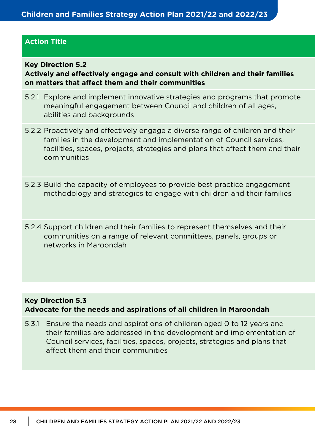#### **Key Direction 5.2**

**Actively and effectively engage and consult with children and their families on matters that affect them and their communities**

- 5.2.1 Explore and implement innovative strategies and programs that promote meaningful engagement between Council and children of all ages, abilities and backgrounds
- 5.2.2 Proactively and effectively engage a diverse range of children and their families in the development and implementation of Council services, facilities, spaces, projects, strategies and plans that affect them and their communities
- 5.2.3 Build the capacity of employees to provide best practice engagement methodology and strategies to engage with children and their families
- 5.2.4 Support children and their families to represent themselves and their communities on a range of relevant committees, panels, groups or networks in Maroondah

#### **Key Direction 5.3 Advocate for the needs and aspirations of all children in Maroondah**

5.3.1 Ensure the needs and aspirations of children aged 0 to 12 years and their families are addressed in the development and implementation of Council services, facilities, spaces, projects, strategies and plans that affect them and their communities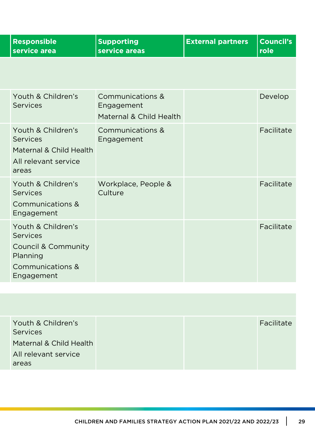|  | <b>Responsible</b><br>service area                                                                             | <b>Supporting</b><br>service areas                                   | <b>External partners</b> | Council's<br>role |
|--|----------------------------------------------------------------------------------------------------------------|----------------------------------------------------------------------|--------------------------|-------------------|
|  |                                                                                                                |                                                                      |                          |                   |
|  | Youth & Children's<br>Services                                                                                 | <b>Communications &amp;</b><br>Engagement<br>Maternal & Child Health |                          | Develop           |
|  | Youth & Children's<br>Services<br>Maternal & Child Health<br>All relevant service<br>areas                     | <b>Communications &amp;</b><br>Engagement                            |                          | Facilitate        |
|  | Youth & Children's<br>Services<br>Communications &<br>Engagement                                               | Workplace, People &<br>Culture                                       |                          | Facilitate        |
|  | Youth & Children's<br>Services<br><b>Council &amp; Community</b><br>Planning<br>Communications &<br>Engagement |                                                                      |                          | Facilitate        |

| Youth & Children's<br><b>Services</b> |  | Facilitate |
|---------------------------------------|--|------------|
| Maternal & Child Health               |  |            |
| All relevant service                  |  |            |
| areas                                 |  |            |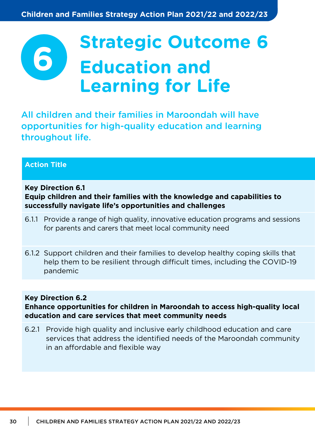# **Strategic Outcome 6 Education and Learning for Life 6**

All children and their families in Maroondah will have opportunities for high-quality education and learning throughout life.

#### **Action Title Responsible**

**Key Direction 6.1**

**Equip children and their families with the knowledge and capabilities to successfully navigate life's opportunities and challenges**

- 6.1.1 Provide a range of high quality, innovative education programs and sessions for parents and carers that meet local community need
- 6.1.2 Support children and their families to develop healthy coping skills that help them to be resilient through difficult times, including the COVID-19 pandemic

#### **Key Direction 6.2**

**Enhance opportunities for children in Maroondah to access high-quality local education and care services that meet community needs**

6.2.1 Provide high quality and inclusive early childhood education and care services that address the identified needs of the Maroondah community in an affordable and flexible way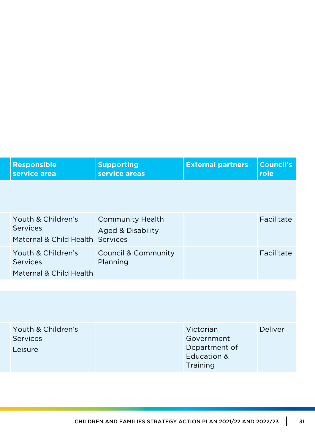| <b>Responsible</b><br>service area                        | <b>Supporting</b><br>service areas           | <b>External partners</b>                                | <b>Council's</b><br>role |
|-----------------------------------------------------------|----------------------------------------------|---------------------------------------------------------|--------------------------|
|                                                           |                                              |                                                         |                          |
| Youth & Children's<br>Services                            | <b>Community Health</b><br>Aged & Disability |                                                         | Facilitate               |
| Youth & Children's<br>Services<br>Maternal & Child Health | <b>Council &amp; Community</b><br>Planning   |                                                         | Facilitate               |
|                                                           |                                              |                                                         |                          |
|                                                           |                                              |                                                         |                          |
| Youth & Children's<br>Services<br>Leisure                 |                                              | Victorian<br>Government<br>Department of<br>Education & | <b>Deliver</b>           |
|                                                           |                                              | Maternal & Child Health Services                        |                          |

**Training**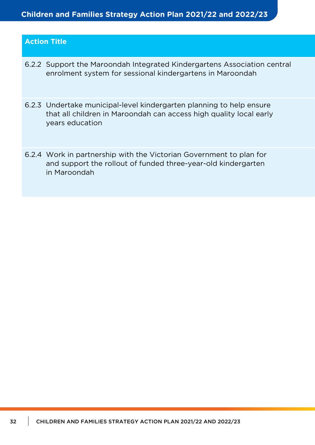- 6.2.2 Support the Maroondah Integrated Kindergartens Association central enrolment system for sessional kindergartens in Maroondah
- 6.2.3 Undertake municipal-level kindergarten planning to help ensure that all children in Maroondah can access high quality local early years education
- 6.2.4 Work in partnership with the Victorian Government to plan for and support the rollout of funded three-year-old kindergarten in Maroondah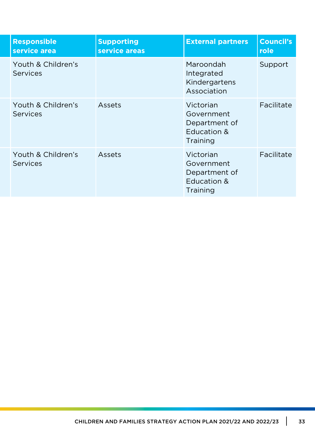|  | <b>Responsible</b><br>service area | <b>Supporting</b><br>service areas | <b>External partners</b>                                            | <b>Council's</b><br>role |
|--|------------------------------------|------------------------------------|---------------------------------------------------------------------|--------------------------|
|  | Youth & Children's<br>Services     |                                    | Maroondah<br>Integrated<br>Kindergartens<br>Association             | Support                  |
|  | Youth & Children's<br>Services     | Assets                             | Victorian<br>Government<br>Department of<br>Education &<br>Training | Facilitate               |
|  | Youth & Children's<br>Services     | Assets                             | Victorian<br>Government<br>Department of<br>Education &<br>Training | Facilitate               |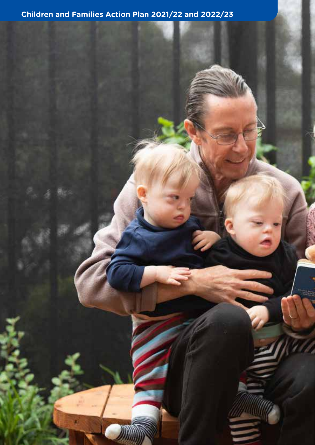### **Children and Families Action Plan 2021/22 and 2022/23**

34 CHILDREN AND FAMILIES STRATEGY ACTION PLAN 2021/22 AND 2022/23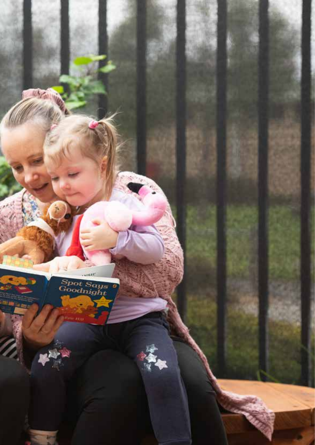